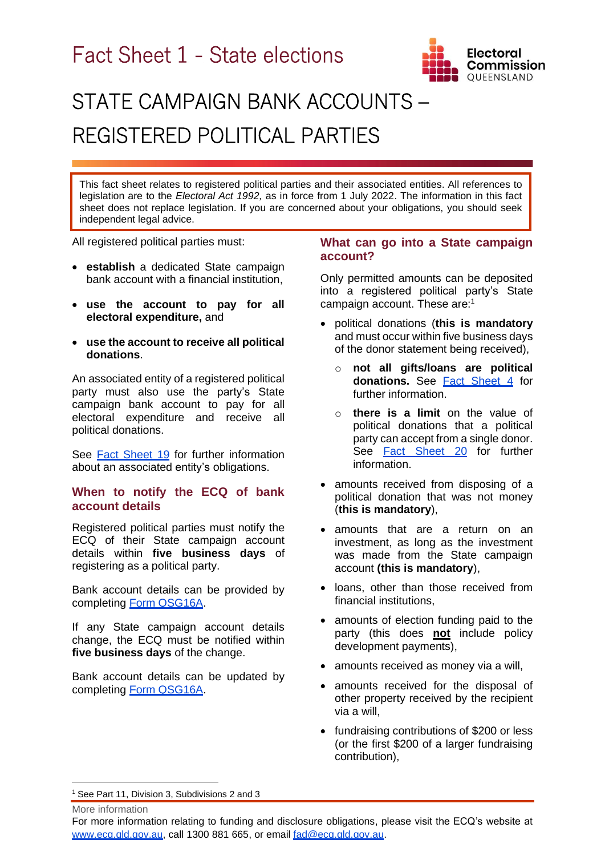# Fact Sheet 1 - State elections



# STATE CAMPAIGN BANK ACCOUNTS – REGISTERED POLITICAL PARTIES

This fact sheet relates to registered political parties and their associated entities. All references to legislation are to the *Electoral Act 1992,* as in force from 1 July 2022. The information in this fact sheet does not replace legislation. If you are concerned about your obligations, you should seek independent legal advice.

All registered political parties must:

- **establish** a dedicated State campaign bank account with a financial institution,
- **use the account to pay for all electoral expenditure,** and
- **use the account to receive all political donations**.

An associated entity of a registered political party must also use the party's State campaign bank account to pay for all electoral expenditure and receive all political donations.

See [Fact Sheet 19](https://www.ecq.qld.gov.au/election-participants/handbooks,-fact-sheets-and-forms) for further information about an associated entity's obligations.

# **When to notify the ECQ of bank account details**

Registered political parties must notify the ECQ of their State campaign account details within **five business days** of registering as a political party.

Bank account details can be provided by completing [Form QSG16A.](https://www.ecq.qld.gov.au/election-participants/handbooks,-fact-sheets-and-forms)

If any State campaign account details change, the ECQ must be notified within **five business days** of the change.

Bank account details can be updated by completing [Form QSG16A.](https://www.ecq.qld.gov.au/election-participants/handbooks,-fact-sheets-and-forms)

# **What can go into a State campaign account?**

Only permitted amounts can be deposited into a registered political party's State campaign account. These are:<sup>1</sup>

- political donations (**this is mandatory** and must occur within five business days of the donor statement being received),
	- o **not all gifts/loans are political donations.** See [Fact Sheet 4](https://www.ecq.qld.gov.au/election-participants/handbooks,-fact-sheets-and-forms) for further information.
	- o **there is a limit** on the value of political donations that a political party can accept from a single donor. See [Fact Sheet 2](https://www.ecq.qld.gov.au/election-participants/handbooks,-fact-sheets-and-forms)0 for further information.
- amounts received from disposing of a political donation that was not money (**this is mandatory**),
- amounts that are a return on an investment, as long as the investment was made from the State campaign account **(this is mandatory**),
- loans, other than those received from financial institutions,
- amounts of election funding paid to the party (this does **not** include policy development payments),
- amounts received as money via a will,
- amounts received for the disposal of other property received by the recipient via a will,
- fundraising contributions of \$200 or less (or the first \$200 of a larger fundraising contribution),

<sup>1</sup> See Part 11, Division 3, Subdivisions 2 and 3

More information

For more information relating to funding and disclosure obligations, please visit the ECQ's website at [www.ecq.qld.gov.au,](http://www.ecq.qld.gov.au/) call 1300 881 665, or email [fad@ecq.qld.gov.au.](mailto:fad@ecq.qld.gov.au)